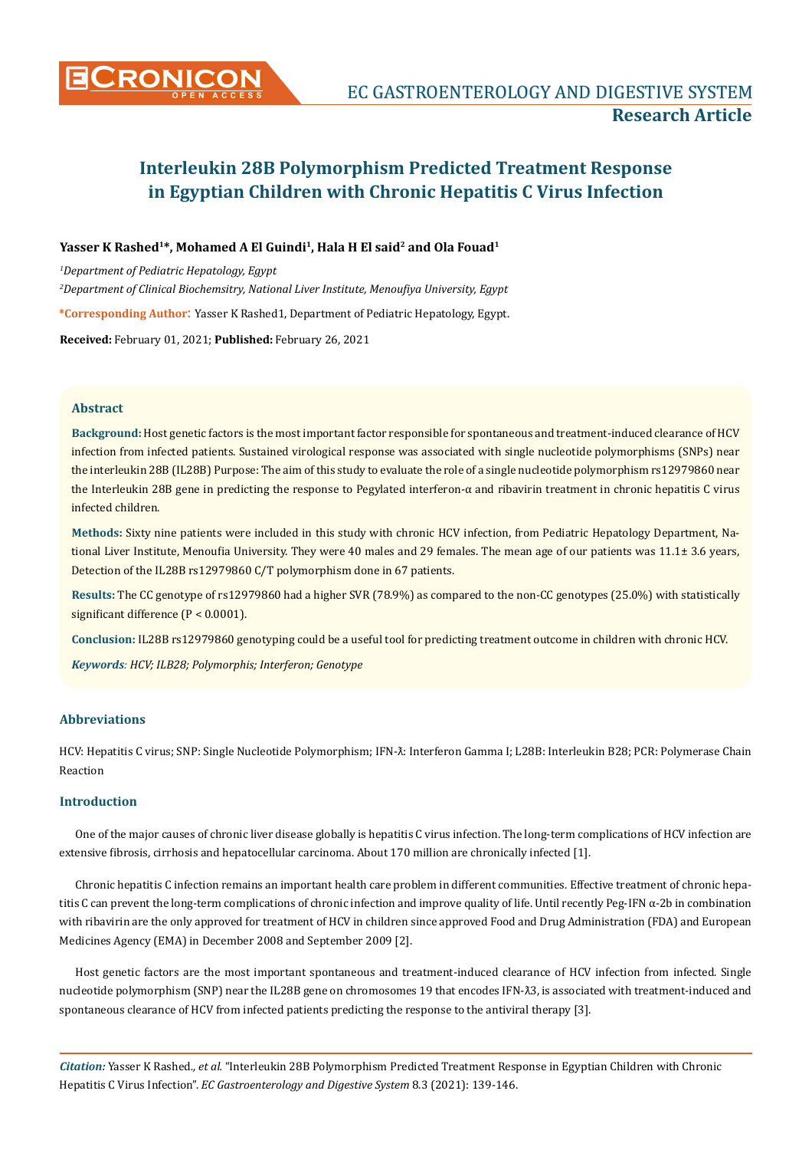

# Yasser K Rashed<sup>1\*</sup>, Mohamed A El Guindi<sup>1</sup>, Hala H El said<sup>2</sup> and Ola Fouad<sup>1</sup>

*1 Department of Pediatric Hepatology, Egypt 2 Department of Clinical Biochemsitry, National Liver Institute, Menoufiya University, Egypt* **\*Corresponding Author**: Yasser K Rashed1, Department of Pediatric Hepatology, Egypt.

**Received:** February 01, 2021; **Published:** February 26, 2021

## **Abstract**

**Background:** Host genetic factors is the most important factor responsible for spontaneous and treatment-induced clearance of HCV infection from infected patients. Sustained virological response was associated with single nucleotide polymorphisms (SNPs) near the interleukin 28B (IL28B) Purpose: The aim of this study to evaluate the role of a single nucleotide polymorphism rs12979860 near the Interleukin 28B gene in predicting the response to Pegylated interferon-α and ribavirin treatment in chronic hepatitis C virus infected children.

**Methods:** Sixty nine patients were included in this study with chronic HCV infection, from Pediatric Hepatology Department, National Liver Institute, Menoufia University. They were 40 males and 29 females. The mean age of our patients was 11.1± 3.6 years, Detection of the IL28B rs12979860 C/T polymorphism done in 67 patients.

**Results:** The CC genotype of rs12979860 had a higher SVR (78.9%) as compared to the non-CC genotypes (25.0%) with statistically significant difference (P < 0.0001).

**Conclusion:** IL28B rs12979860 genotyping could be a useful tool for predicting treatment outcome in children with chronic HCV.

*Keywords: HCV; ILB28; Polymorphis; Interferon; Genotype*

# **Abbreviations**

HCV: Hepatitis C virus; SNP: Single Nucleotide Polymorphism; IFN- $\tilde{\lambda}$ : Interferon Gamma I; L28B: Interleukin B28; PCR: Polymerase Chain Reaction

## **Introduction**

One of the major causes of chronic liver disease globally is hepatitis C virus infection. The long-term complications of HCV infection are extensive fibrosis, cirrhosis and hepatocellular carcinoma. About 170 million are chronically infected [1].

Chronic hepatitis C infection remains an important health care problem in different communities. Effective treatment of chronic hepatitis C can prevent the long-term complications of chronic infection and improve quality of life. Until recently Peg-IFN α-2b in combination with ribavirin are the only approved for treatment of HCV in children since approved Food and Drug Administration (FDA) and European Medicines Agency (EMA) in December 2008 and September 2009 [2].

Host genetic factors are the most important spontaneous and treatment-induced clearance of HCV infection from infected. Single nucleotide polymorphism (SNP) near the IL28B gene on chromosomes 19 that encodes IFN- $\lambda$ 3, is associated with treatment-induced and spontaneous clearance of HCV from infected patients predicting the response to the antiviral therapy [3].

*Citation:* Yasser K Rashed*., et al.* "Interleukin 28B Polymorphism Predicted Treatment Response in Egyptian Children with Chronic Hepatitis C Virus Infection". *EC Gastroenterology and Digestive System* 8.3 (2021): 139-146.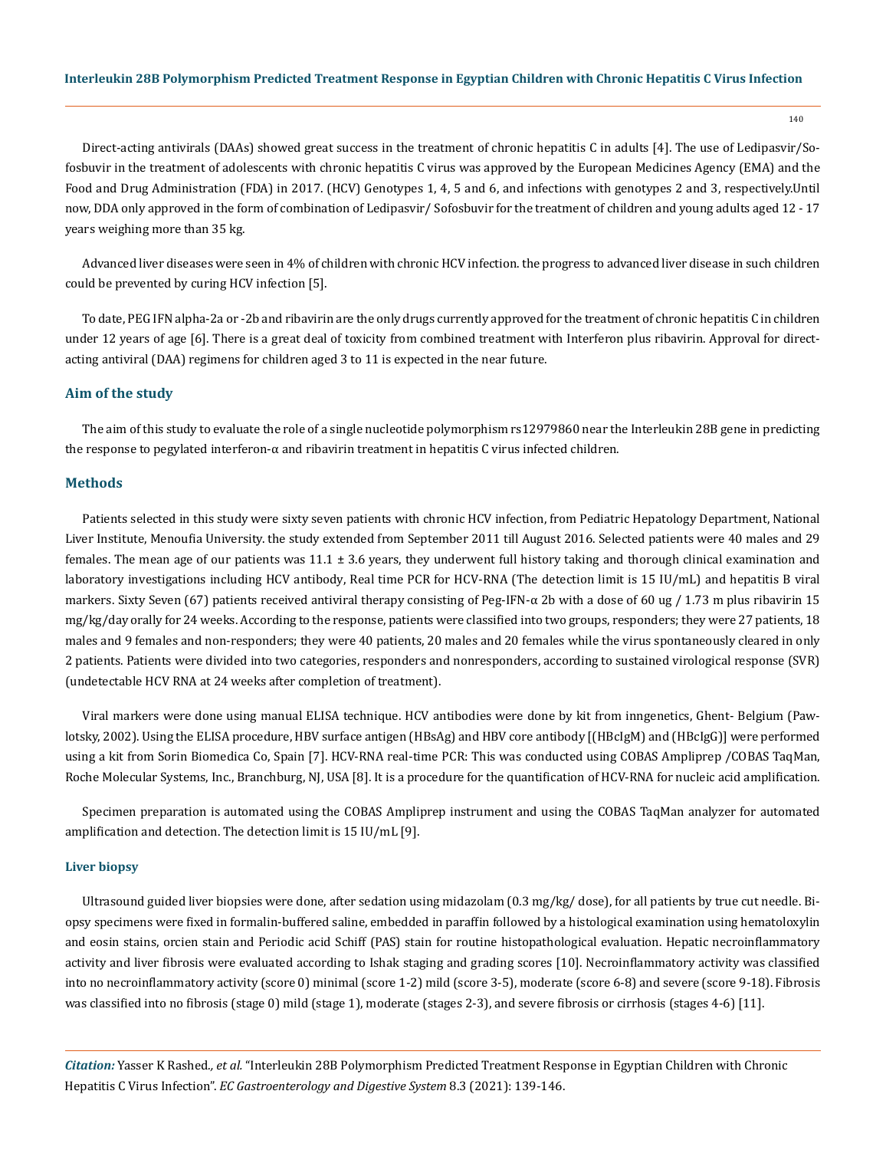140

Direct-acting antivirals (DAAs) showed great success in the treatment of chronic hepatitis C in adults [4]. The use of Ledipasvir/Sofosbuvir in the treatment of adolescents with chronic hepatitis C virus was approved by the European Medicines Agency (EMA) and the Food and Drug Administration (FDA) in 2017. (HCV) Genotypes 1, 4, 5 and 6, and infections with genotypes 2 and 3, respectively.Until now, DDA only approved in the form of combination of Ledipasvir/ Sofosbuvir for the treatment of children and young adults aged 12 - 17 years weighing more than 35 kg.

Advanced liver diseases were seen in 4% of children with chronic HCV infection. the progress to advanced liver disease in such children could be prevented by curing HCV infection [5].

To date, PEG IFN alpha-2a or -2b and ribavirin are the only drugs currently approved for the treatment of chronic hepatitis C in children under 12 years of age [6]. There is a great deal of toxicity from combined treatment with Interferon plus ribavirin. Approval for directacting antiviral (DAA) regimens for children aged 3 to 11 is expected in the near future.

#### **Aim of the study**

The aim of this study to evaluate the role of a single nucleotide polymorphism rs12979860 near the Interleukin 28B gene in predicting the response to pegylated interferon-α and ribavirin treatment in hepatitis C virus infected children.

#### **Methods**

Patients selected in this study were sixty seven patients with chronic HCV infection, from Pediatric Hepatology Department, National Liver Institute, Menoufia University. the study extended from September 2011 till August 2016. Selected patients were 40 males and 29 females. The mean age of our patients was  $11.1 \pm 3.6$  years, they underwent full history taking and thorough clinical examination and laboratory investigations including HCV antibody, Real time PCR for HCV-RNA (The detection limit is 15 IU/mL) and hepatitis B viral markers. Sixty Seven (67) patients received antiviral therapy consisting of Peg-IFN- $\alpha$  2b with a dose of 60 ug / 1.73 m plus ribavirin 15 mg/kg/day orally for 24 weeks. According to the response, patients were classified into two groups, responders; they were 27 patients, 18 males and 9 females and non-responders; they were 40 patients, 20 males and 20 females while the virus spontaneously cleared in only 2 patients. Patients were divided into two categories, responders and nonresponders, according to sustained virological response (SVR) (undetectable HCV RNA at 24 weeks after completion of treatment).

Viral markers were done using manual ELISA technique. HCV antibodies were done by kit from inngenetics, Ghent- Belgium (Pawlotsky, 2002). Using the ELISA procedure, HBV surface antigen (HBsAg) and HBV core antibody [(HBcIgM) and (HBcIgG)] were performed using a kit from Sorin Biomedica Co, Spain [7]. HCV-RNA real-time PCR: This was conducted using COBAS Ampliprep /COBAS TaqMan, Roche Molecular Systems, Inc., Branchburg, NJ, USA [8]. It is a procedure for the quantification of HCV-RNA for nucleic acid amplification.

Specimen preparation is automated using the COBAS Ampliprep instrument and using the COBAS TaqMan analyzer for automated amplification and detection. The detection limit is 15 IU/mL [9].

#### **Liver biopsy**

Ultrasound guided liver biopsies were done, after sedation using midazolam (0.3 mg/kg/ dose), for all patients by true cut needle. Biopsy specimens were fixed in formalin-buffered saline, embedded in paraffin followed by a histological examination using hematoloxylin and eosin stains, orcien stain and Periodic acid Schiff (PAS) stain for routine histopathological evaluation. Hepatic necroinflammatory activity and liver fibrosis were evaluated according to Ishak staging and grading scores [10]. Necroinflammatory activity was classified into no necroinflammatory activity (score 0) minimal (score 1-2) mild (score 3-5), moderate (score 6-8) and severe (score 9-18). Fibrosis was classified into no fibrosis (stage 0) mild (stage 1), moderate (stages 2-3), and severe fibrosis or cirrhosis (stages 4-6) [11].

*Citation:* Yasser K Rashed*., et al.* "Interleukin 28B Polymorphism Predicted Treatment Response in Egyptian Children with Chronic Hepatitis C Virus Infection". *EC Gastroenterology and Digestive System* 8.3 (2021): 139-146.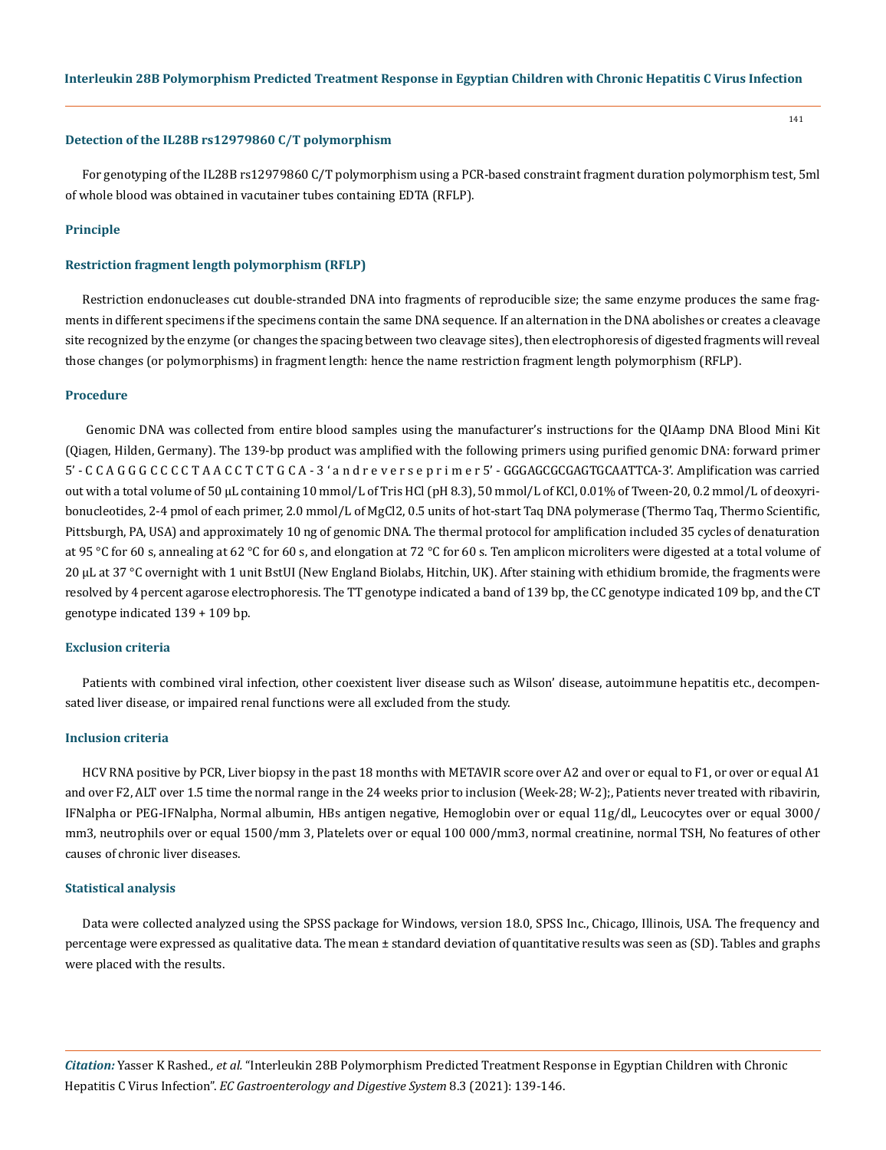#### **Detection of the IL28B rs12979860 C/T polymorphism**

For genotyping of the IL28B rs12979860 C/T polymorphism using a PCR-based constraint fragment duration polymorphism test, 5ml of whole blood was obtained in vacutainer tubes containing EDTA (RFLP).

### **Principle**

#### **Restriction fragment length polymorphism (RFLP)**

Restriction endonucleases cut double-stranded DNA into fragments of reproducible size; the same enzyme produces the same fragments in different specimens if the specimens contain the same DNA sequence. If an alternation in the DNA abolishes or creates a cleavage site recognized by the enzyme (or changes the spacing between two cleavage sites), then electrophoresis of digested fragments will reveal those changes (or polymorphisms) in fragment length: hence the name restriction fragment length polymorphism (RFLP).

#### **Procedure**

 Genomic DNA was collected from entire blood samples using the manufacturer's instructions for the QIAamp DNA Blood Mini Kit (Qiagen, Hilden, Germany). The 139-bp product was amplified with the following primers using purified genomic DNA: forward primer 5' - C C A G G G C C C C T A A C C T C T G C A - 3 ' a n d r e v e r s e p r i m e r 5' - GGGAGCGCGAGTGCAATTCA-3'. Amplification was carried out with a total volume of 50 μL containing 10 mmol/L of Tris HCl (pH 8.3), 50 mmol/L of KCl, 0.01% of Tween-20, 0.2 mmol/L of deoxyribonucleotides, 2-4 pmol of each primer, 2.0 mmol/L of MgCl2, 0.5 units of hot-start Taq DNA polymerase (Thermo Taq, Thermo Scientific, Pittsburgh, PA, USA) and approximately 10 ng of genomic DNA. The thermal protocol for amplification included 35 cycles of denaturation at 95 °C for 60 s, annealing at 62 °C for 60 s, and elongation at 72 °C for 60 s. Ten amplicon microliters were digested at a total volume of 20 μL at 37 °C overnight with 1 unit BstUI (New England Biolabs, Hitchin, UK). After staining with ethidium bromide, the fragments were resolved by 4 percent agarose electrophoresis. The TT genotype indicated a band of 139 bp, the CC genotype indicated 109 bp, and the CT genotype indicated 139 + 109 bp.

#### **Exclusion criteria**

Patients with combined viral infection, other coexistent liver disease such as Wilson' disease, autoimmune hepatitis etc., decompensated liver disease, or impaired renal functions were all excluded from the study.

### **Inclusion criteria**

HCV RNA positive by PCR, Liver biopsy in the past 18 months with METAVIR score over A2 and over or equal to F1, or over or equal A1 and over F2, ALT over 1.5 time the normal range in the 24 weeks prior to inclusion (Week-28; W-2);, Patients never treated with ribavirin, IFNalpha or PEG-IFNalpha, Normal albumin, HBs antigen negative, Hemoglobin over or equal 11g/dl,, Leucocytes over or equal 3000/ mm3, neutrophils over or equal 1500/mm 3, Platelets over or equal 100 000/mm3, normal creatinine, normal TSH, No features of other causes of chronic liver diseases.

#### **Statistical analysis**

Data were collected analyzed using the SPSS package for Windows, version 18.0, SPSS Inc., Chicago, Illinois, USA. The frequency and percentage were expressed as qualitative data. The mean ± standard deviation of quantitative results was seen as (SD). Tables and graphs were placed with the results.

*Citation:* Yasser K Rashed*., et al.* "Interleukin 28B Polymorphism Predicted Treatment Response in Egyptian Children with Chronic Hepatitis C Virus Infection". *EC Gastroenterology and Digestive System* 8.3 (2021): 139-146.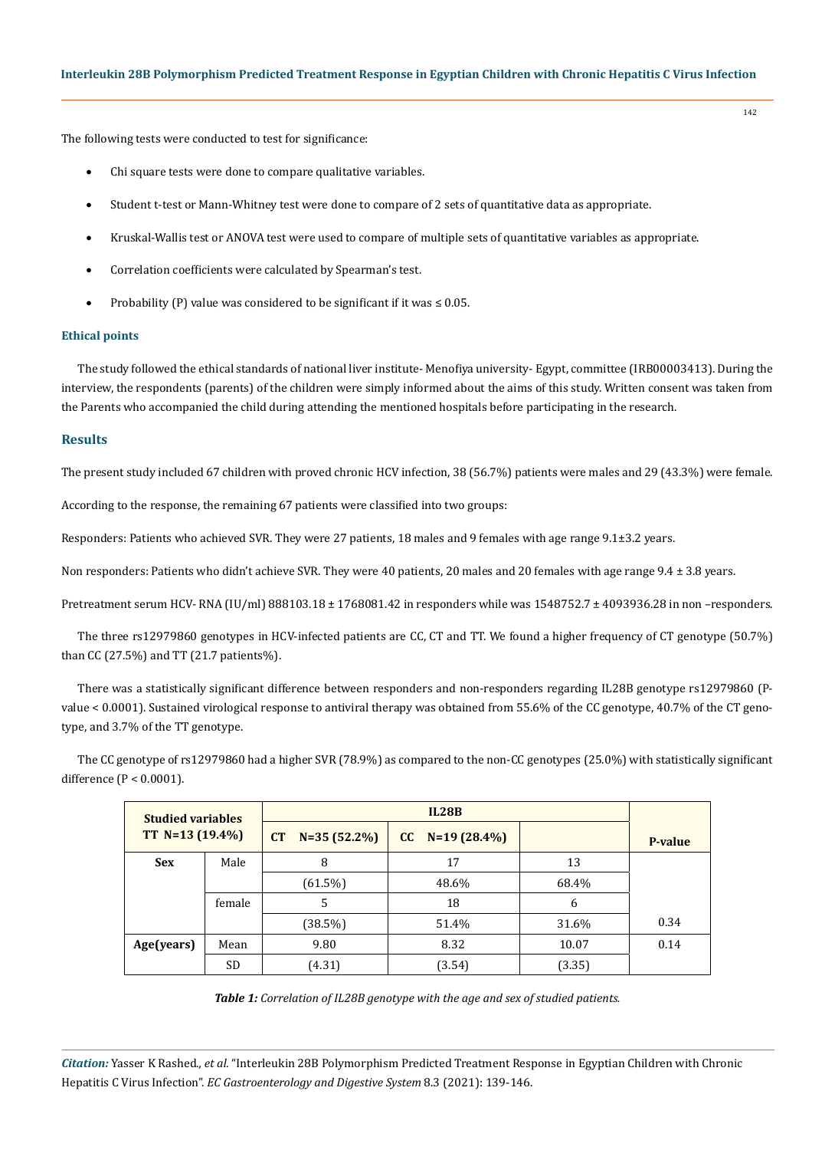The following tests were conducted to test for significance:

- Chi square tests were done to compare qualitative variables.
- Student t-test or Mann-Whitney test were done to compare of 2 sets of quantitative data as appropriate.
- Kruskal-Wallis test or ANOVA test were used to compare of multiple sets of quantitative variables as appropriate.
- Correlation coefficients were calculated by Spearman's test.
- Probability (P) value was considered to be significant if it was  $\leq 0.05$ .

# **Ethical points**

The study followed the ethical standards of national liver institute- Menofiya university- Egypt, committee (IRB00003413). During the interview, the respondents (parents) of the children were simply informed about the aims of this study. Written consent was taken from the Parents who accompanied the child during attending the mentioned hospitals before participating in the research.

## **Results**

The present study included 67 children with proved chronic HCV infection, 38 (56.7%) patients were males and 29 (43.3%) were female.

According to the response, the remaining 67 patients were classified into two groups:

Responders: Patients who achieved SVR. They were 27 patients, 18 males and 9 females with age range 9.1±3.2 years.

Non responders: Patients who didn't achieve SVR. They were 40 patients, 20 males and 20 females with age range 9.4 ± 3.8 years.

Pretreatment serum HCV- RNA (IU/ml) 888103.18 ± 1768081.42 in responders while was 1548752.7 ± 4093936.28 in non –responders.

The three rs12979860 genotypes in HCV-infected patients are CC, CT and TT. We found a higher frequency of CT genotype (50.7%) than CC (27.5%) and TT (21.7 patients%).

There was a statistically significant difference between responders and non-responders regarding IL28B genotype rs12979860 (Pvalue < 0.0001). Sustained virological response to antiviral therapy was obtained from 55.6% of the CC genotype, 40.7% of the CT genotype, and 3.7% of the TT genotype.

The CC genotype of rs12979860 had a higher SVR (78.9%) as compared to the non-CC genotypes (25.0%) with statistically significant difference (P < 0.0001).

| <b>Studied variables</b><br>TT $N=13(19.4\%)$ |        |                     |                      |        |                |
|-----------------------------------------------|--------|---------------------|----------------------|--------|----------------|
|                                               |        | CT<br>$N=35(52.2%)$ | $N=19(28.4\%)$<br>cc |        | <b>P-value</b> |
| <b>Sex</b>                                    | Male   | 8                   | 17                   | 13     |                |
|                                               |        | $(61.5\%)$          | 48.6%                | 68.4%  |                |
|                                               | female | 5                   | 18                   | 6      |                |
|                                               |        | (38.5%)             | 51.4%                | 31.6%  | 0.34           |
| Age(years)                                    | Mean   | 9.80                | 8.32                 | 10.07  | 0.14           |
|                                               | SD     | (4.31)              | (3.54)               | (3.35) |                |

*Table 1: Correlation of IL28B genotype with the age and sex of studied patients.*

*Citation:* Yasser K Rashed*., et al.* "Interleukin 28B Polymorphism Predicted Treatment Response in Egyptian Children with Chronic Hepatitis C Virus Infection". *EC Gastroenterology and Digestive System* 8.3 (2021): 139-146.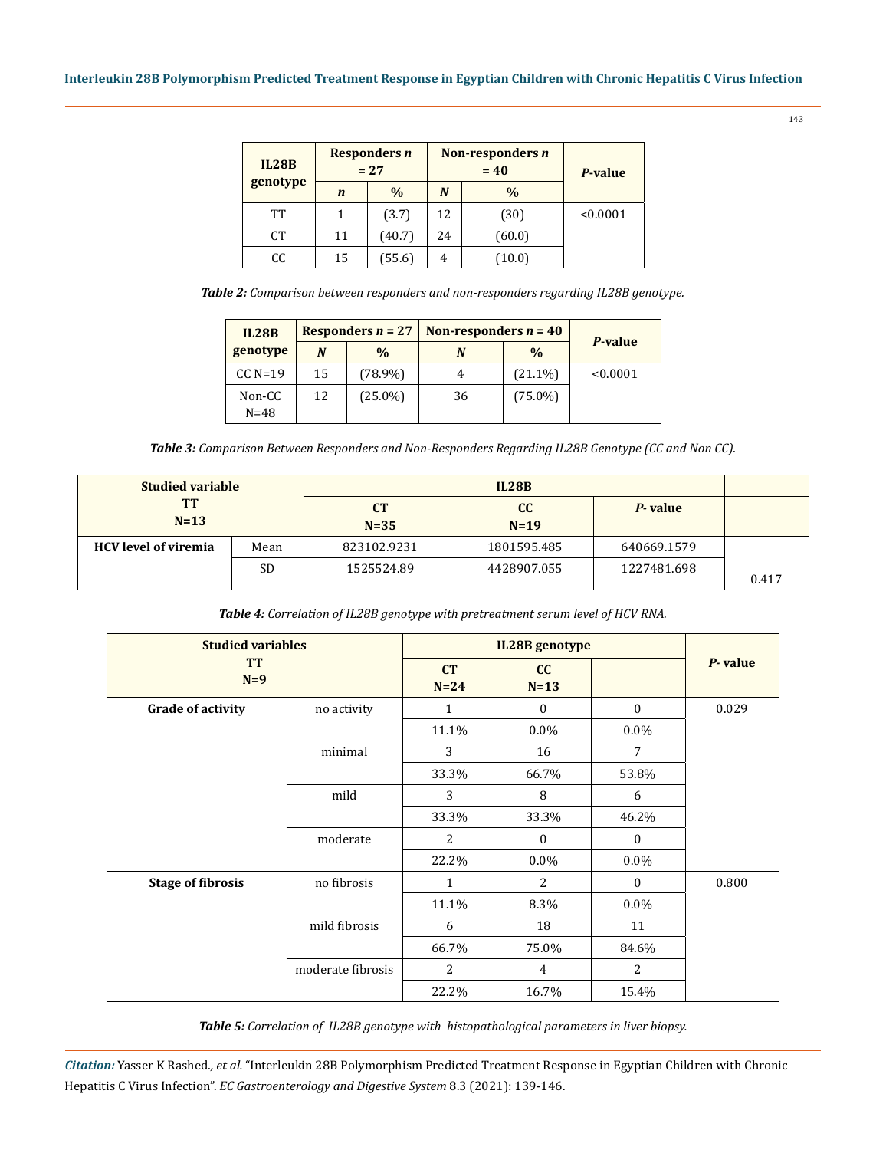| <b>IL28B</b> | Responders n<br>$= 27$ |               |    | Non-responders n<br>$= 40$ | P-value  |  |
|--------------|------------------------|---------------|----|----------------------------|----------|--|
| genotype     | $\mathbf n$            | $\frac{0}{0}$ | N  | $\frac{0}{0}$              |          |  |
| TT           |                        | (3.7)         | 12 | (30)                       | < 0.0001 |  |
| <b>CT</b>    | 11                     | (40.7)        | 24 | (60.0)                     |          |  |
| CC           | 15                     | (55.6)        | 4  | (10.0)                     |          |  |

*Table 2: Comparison between responders and non-responders regarding IL28B genotype.*

| <b>IL28B</b>       |    | Responders $n = 27$ | Non-responders $n = 40$ |               |                |
|--------------------|----|---------------------|-------------------------|---------------|----------------|
| genotype           | N  | $\%$                | N                       | $\frac{0}{0}$ | <b>P-value</b> |
| $CC$ N=19          | 15 | $(78.9\%)$          | 4                       | $(21.1\%)$    | < 0.0001       |
| Non-CC<br>$N = 48$ | 12 | $(25.0\%)$          | 36                      | $(75.0\%)$    |                |

*Table 3: Comparison Between Responders and Non-Responders Regarding IL28B Genotype (CC and Non CC).*

| <b>Studied variable</b>     |           |                     |              |             |       |
|-----------------------------|-----------|---------------------|--------------|-------------|-------|
| <b>TT</b><br>$N=13$         |           | <b>CT</b><br>$N=35$ | cc<br>$N=19$ | P-value     |       |
| <b>HCV</b> level of viremia | Mean      | 823102.9231         | 1801595.485  | 640669.1579 |       |
|                             | <b>SD</b> | 1525524.89          | 4428907.055  | 1227481.698 | 0.417 |

*Table 4: Correlation of IL28B genotype with pretreatment serum level of HCV RNA.*

| <b>Studied variables</b><br><b>TT</b><br>$N=9$ |                   | IL28B genotype |              |                  |         |
|------------------------------------------------|-------------------|----------------|--------------|------------------|---------|
|                                                |                   | CT<br>$N=24$   | cc<br>$N=13$ |                  | P-value |
| <b>Grade of activity</b>                       | no activity       | 1              | $\mathbf{0}$ | $\boldsymbol{0}$ | 0.029   |
|                                                |                   | 11.1%          | $0.0\%$      | $0.0\%$          |         |
|                                                | minimal           | 3              | 16           | 7                |         |
|                                                |                   | 33.3%          | 66.7%        | 53.8%            |         |
|                                                | mild              | 3              | 8            | 6                |         |
|                                                |                   | 33.3%          | 33.3%        | 46.2%            |         |
|                                                | moderate          | 2              | $\mathbf{0}$ | $\mathbf{0}$     |         |
|                                                |                   | 22.2%          | $0.0\%$      | $0.0\%$          |         |
| <b>Stage of fibrosis</b>                       | no fibrosis       | $\mathbf{1}$   | 2            | $\mathbf{0}$     | 0.800   |
|                                                |                   | 11.1%          | 8.3%         | $0.0\%$          |         |
|                                                | mild fibrosis     | 6              | 18           | 11               |         |
|                                                |                   | 66.7%          | 75.0%        | 84.6%            |         |
|                                                | moderate fibrosis | 2              | 4            | 2                |         |
|                                                |                   | 22.2%          | 16.7%        | 15.4%            |         |

*Table 5: Correlation of IL28B genotype with histopathological parameters in liver biopsy.*

*Citation:* Yasser K Rashed*., et al.* "Interleukin 28B Polymorphism Predicted Treatment Response in Egyptian Children with Chronic Hepatitis C Virus Infection". *EC Gastroenterology and Digestive System* 8.3 (2021): 139-146.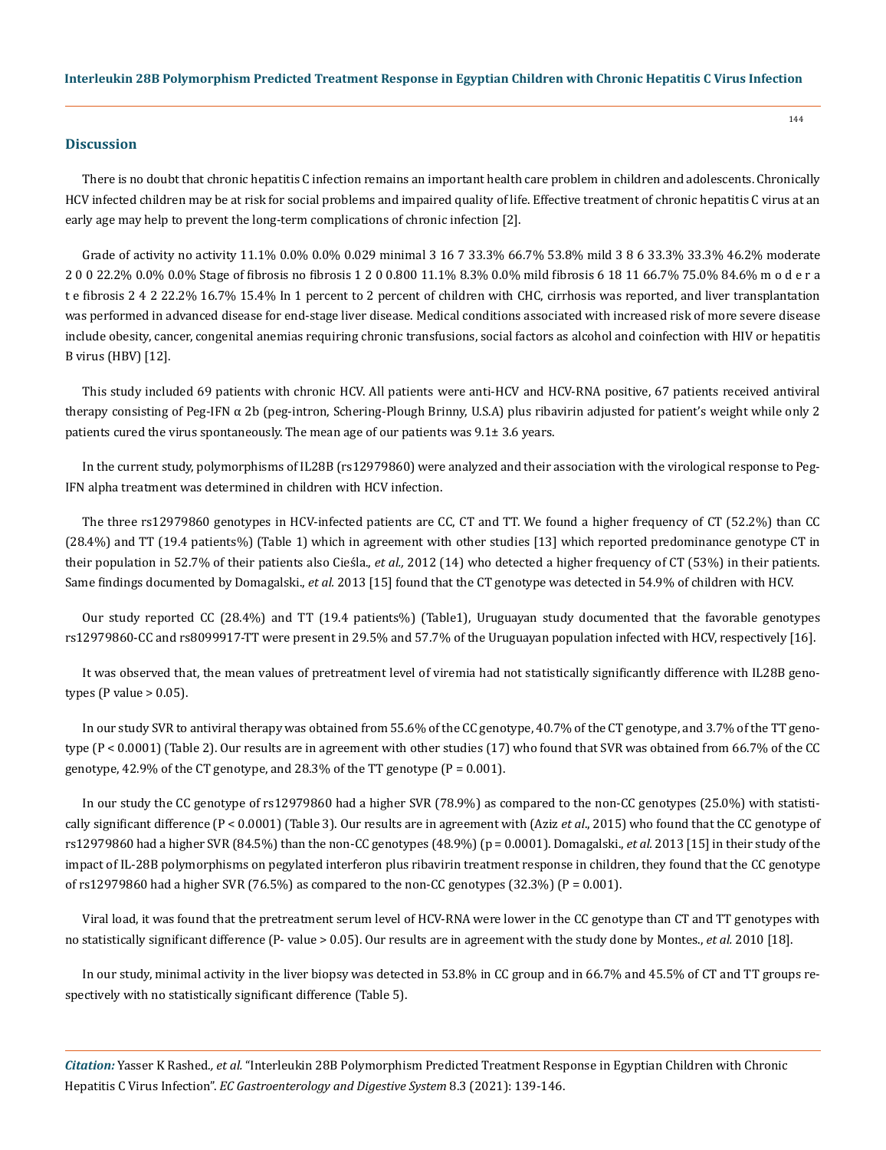## **Discussion**

There is no doubt that chronic hepatitis C infection remains an important health care problem in children and adolescents. Chronically HCV infected children may be at risk for social problems and impaired quality of life. Effective treatment of chronic hepatitis C virus at an early age may help to prevent the long-term complications of chronic infection [2].

Grade of activity no activity 11.1% 0.0% 0.0% 0.029 minimal 3 16 7 33.3% 66.7% 53.8% mild 3 8 6 33.3% 33.3% 46.2% moderate 2 0 0 22.2% 0.0% 0.0% Stage of fibrosis no fibrosis 1 2 0 0.800 11.1% 8.3% 0.0% mild fibrosis 6 18 11 66.7% 75.0% 84.6% m o d e r a t e fibrosis 2 4 2 22.2% 16.7% 15.4% In 1 percent to 2 percent of children with CHC, cirrhosis was reported, and liver transplantation was performed in advanced disease for end-stage liver disease. Medical conditions associated with increased risk of more severe disease include obesity, cancer, congenital anemias requiring chronic transfusions, social factors as alcohol and coinfection with HIV or hepatitis B virus (HBV) [12].

This study included 69 patients with chronic HCV. All patients were anti-HCV and HCV-RNA positive, 67 patients received antiviral therapy consisting of Peg-IFN α 2b (peg-intron, Schering-Plough Brinny, U.S.A) plus ribavirin adjusted for patient's weight while only 2 patients cured the virus spontaneously. The mean age of our patients was 9.1± 3.6 years.

In the current study, polymorphisms of IL28B (rs12979860) were analyzed and their association with the virological response to Peg-IFN alpha treatment was determined in children with HCV infection.

The three rs12979860 genotypes in HCV-infected patients are CC, CT and TT. We found a higher frequency of CT (52.2%) than CC (28.4%) and TT (19.4 patients%) (Table 1) which in agreement with other studies [13] which reported predominance genotype CT in their population in 52.7% of their patients also Cieśla., *et al.,* 2012 (14) who detected a higher frequency of CT (53%) in their patients. Same findings documented by Domagalski., *et al.* 2013 [15] found that the CT genotype was detected in 54.9% of children with HCV.

Our study reported CC (28.4%) and TT (19.4 patients%) (Table1), Uruguayan study documented that the favorable genotypes rs12979860-CC and rs8099917-TT were present in 29.5% and 57.7% of the Uruguayan population infected with HCV, respectively [16].

It was observed that, the mean values of pretreatment level of viremia had not statistically significantly difference with IL28B genotypes (P value  $> 0.05$ ).

In our study SVR to antiviral therapy was obtained from 55.6% of the CC genotype, 40.7% of the CT genotype, and 3.7% of the TT genotype (P < 0.0001) (Table 2). Our results are in agreement with other studies (17) who found that SVR was obtained from 66.7% of the CC genotype, 42.9% of the CT genotype, and 28.3% of the TT genotype  $(P = 0.001)$ .

In our study the CC genotype of rs12979860 had a higher SVR (78.9%) as compared to the non-CC genotypes (25.0%) with statistically significant difference (P < 0.0001) (Table 3). Our results are in agreement with (Aziz *et al*., 2015) who found that the CC genotype of rs12979860 had a higher SVR (84.5%) than the non-CC genotypes (48.9%) (p = 0.0001). Domagalski., *et al.* 2013 [15] in their study of the impact of IL-28B polymorphisms on pegylated interferon plus ribavirin treatment response in children, they found that the CC genotype of  $rs12979860$  had a higher SVR (76.5%) as compared to the non-CC genotypes (32.3%) ( $P = 0.001$ ).

Viral load, it was found that the pretreatment serum level of HCV-RNA were lower in the CC genotype than CT and TT genotypes with no statistically significant difference (P- value > 0.05). Our results are in agreement with the study done by Montes., *et al.* 2010 [18].

In our study, minimal activity in the liver biopsy was detected in 53.8% in CC group and in 66.7% and 45.5% of CT and TT groups respectively with no statistically significant difference (Table 5).

*Citation:* Yasser K Rashed*., et al.* "Interleukin 28B Polymorphism Predicted Treatment Response in Egyptian Children with Chronic Hepatitis C Virus Infection". *EC Gastroenterology and Digestive System* 8.3 (2021): 139-146.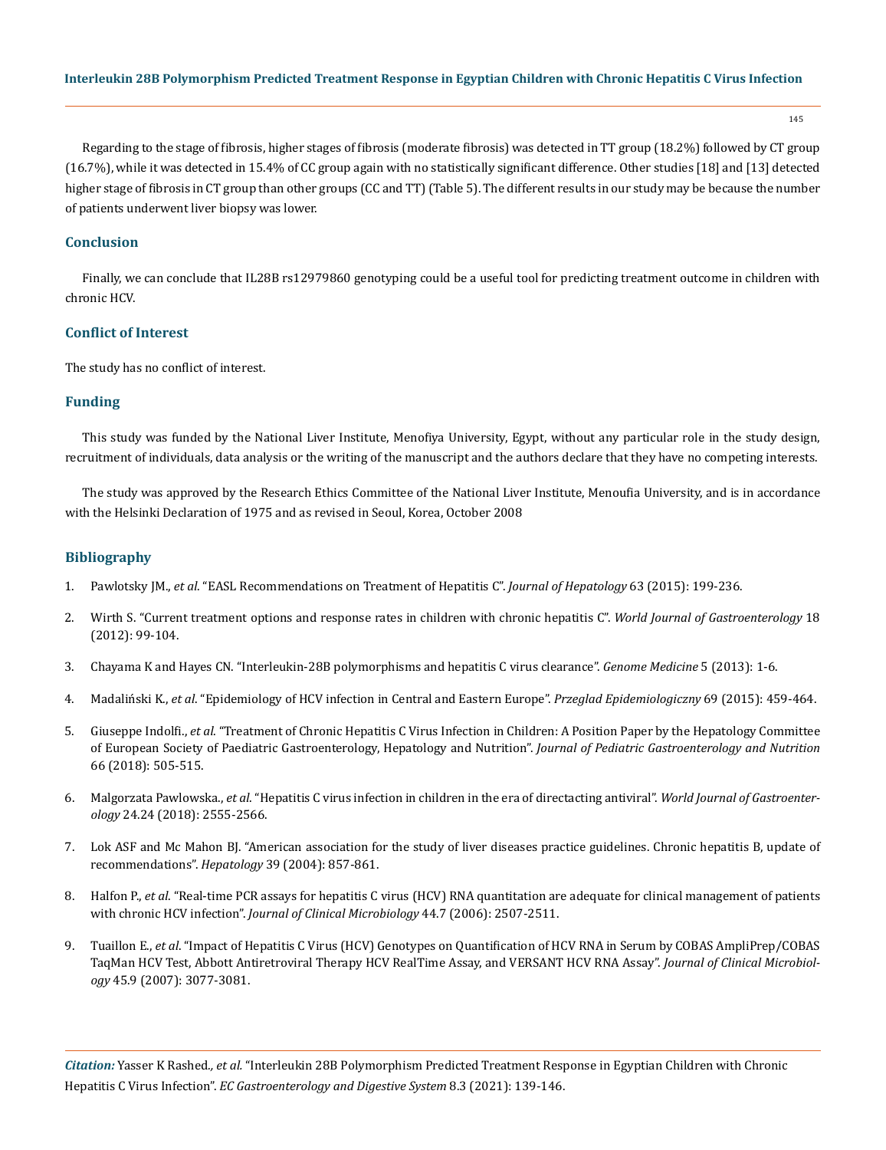145

Regarding to the stage of fibrosis, higher stages of fibrosis (moderate fibrosis) was detected in TT group (18.2%) followed by CT group (16.7%), while it was detected in 15.4% of CC group again with no statistically significant difference. Other studies [18] and [13] detected higher stage of fibrosis in CT group than other groups (CC and TT) (Table 5). The different results in our study may be because the number of patients underwent liver biopsy was lower.

# **Conclusion**

Finally, we can conclude that IL28B rs12979860 genotyping could be a useful tool for predicting treatment outcome in children with chronic HCV.

# **Conflict of Interest**

The study has no conflict of interest.

# **Funding**

This study was funded by the National Liver Institute, Menofiya University, Egypt, without any particular role in the study design, recruitment of individuals, data analysis or the writing of the manuscript and the authors declare that they have no competing interests.

The study was approved by the Research Ethics Committee of the National Liver Institute, Menoufia University, and is in accordance with the Helsinki Declaration of 1975 and as revised in Seoul, Korea, October 2008

# **Bibliography**

- 1. Pawlotsky JM., *et al*[. "EASL Recommendations on Treatment of Hepatitis C".](https://easl.eu/publication/easl-recommendations-on-treatment-of-hepatitis-c-2020/) *Journal of Hepatology* 63 (2015): 199-236.
- 2. [Wirth S. "Current treatment options and response rates in children with chronic hepatitis C".](https://pubmed.ncbi.nlm.nih.gov/22253515/) *World Journal of Gastroenterology* 18 [\(2012\): 99-104.](https://pubmed.ncbi.nlm.nih.gov/22253515/)
- 3. [Chayama K and Hayes CN. "Interleukin-28B polymorphisms and hepatitis C virus clearance".](https://genomemedicine.biomedcentral.com/articles/10.1186/gm410) *Genome Medicine* 5 (2013): 1-6.
- 4. Madaliński K., *et al*[. "Epidemiology of HCV infection in Central and Eastern Europe".](https://www.researchgate.net/publication/281637391_EPIDEMIOLOGY_OF_HCV_INFECTION_IN_CENTRAL_AND_EASTERN_EUROPE) *Przeglad Epidemiologiczny* 69 (2015): 459-464.
- 5. Giuseppe Indolfi., *et al*[. "Treatment of Chronic Hepatitis C Virus Infection in Children: A Position Paper by the Hepatology Committee](https://pubmed.ncbi.nlm.nih.gov/29287014/)  [of European Society of Paediatric Gastroenterology, Hepatology and Nutrition".](https://pubmed.ncbi.nlm.nih.gov/29287014/) *Journal of Pediatric Gastroenterology and Nutrition*  [66 \(2018\): 505-515.](https://pubmed.ncbi.nlm.nih.gov/29287014/)
- 6. Malgorzata Pawlowska., *et al*[. "Hepatitis C virus infection in children in the era of directacting antiviral".](https://www.thelancet.com/journals/langas/article/PIIS2468-1253(19)30046-9/fulltext) *World Journal of Gastroenterology* [24.24 \(2018\): 2555-2566.](https://www.thelancet.com/journals/langas/article/PIIS2468-1253(19)30046-9/fulltext)
- 7. Lok ASF and Mc Mahon BJ. "American association for the study of liver diseases practice guidelines. Chronic hepatitis B, update of recommendations". *Hepatology* 39 (2004): 857-861.
- 8. Halfon P., *et al*[. "Real-time PCR assays for hepatitis C virus \(HCV\) RNA quantitation are adequate for clinical management of patients](https://www.ncbi.nlm.nih.gov/pmc/articles/PMC1489518/)  with chronic HCV infection". *[Journal of Clinical Microbiology](https://www.ncbi.nlm.nih.gov/pmc/articles/PMC1489518/)* 44.7 (2006): 2507-2511.
- 9. Tuaillon E., *et al*[. "Impact of Hepatitis C Virus \(HCV\) Genotypes on Quantification of HCV RNA in Serum by COBAS AmpliPrep/COBAS](https://jcm.asm.org/content/45/9/3077)  [TaqMan HCV Test, Abbott Antiretroviral Therapy HCV RealTime Assay, and VERSANT HCV RNA Assay".](https://jcm.asm.org/content/45/9/3077) *Journal of Clinical Microbiology* [45.9 \(2007\): 3077-3081.](https://jcm.asm.org/content/45/9/3077)

*Citation:* Yasser K Rashed*., et al.* "Interleukin 28B Polymorphism Predicted Treatment Response in Egyptian Children with Chronic Hepatitis C Virus Infection". *EC Gastroenterology and Digestive System* 8.3 (2021): 139-146.